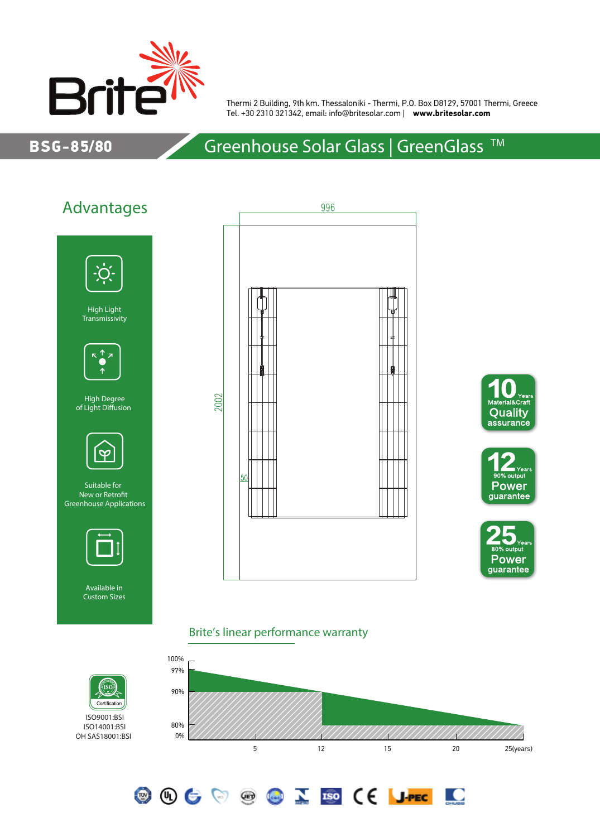

Thermi 2 Building, 9th km. Thessaloniki - Thermi, P.O. Box D8129, 57001 Thermi, Greece Tel. +30 2310 321342, email: info@britesolar.com | **www.britesolar.com**

### BSG-85/80

# Greenhouse Solar Glass | GreenGlass<sup>™</sup>



ISO9001:BSI ISO14001:BSI OH SAS18001:BSI









<u>io</u>

#### Brite's linear performance warranty

**OOCOOCOID (E JPEC**